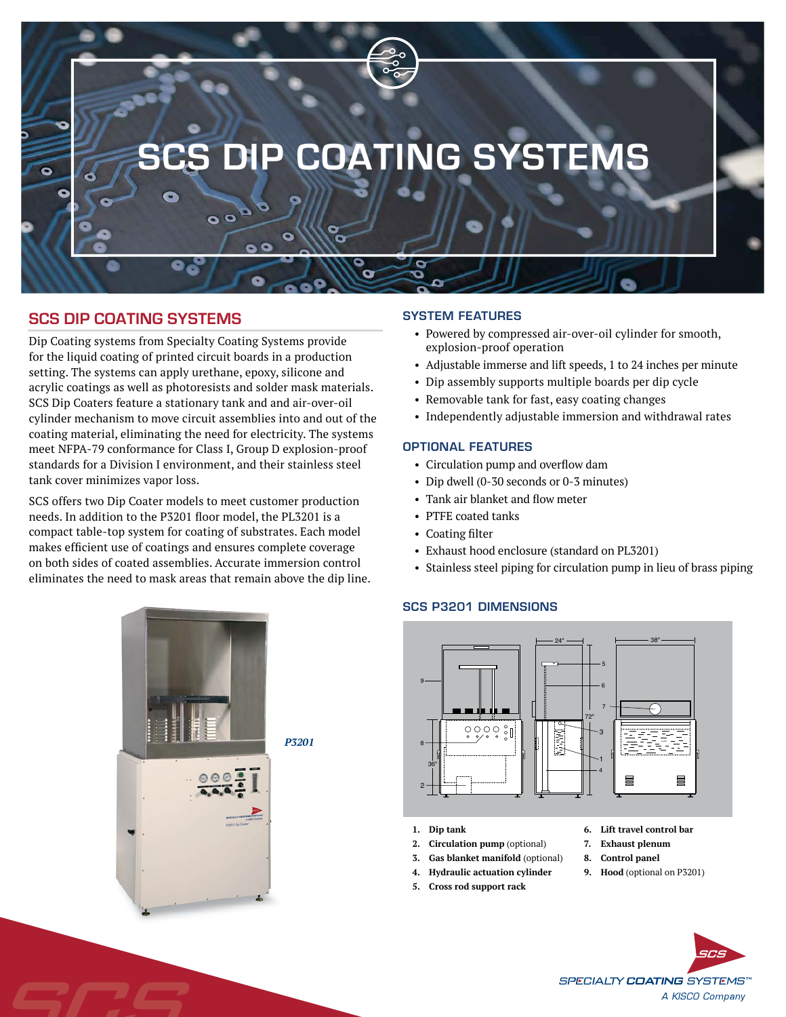

# **SCS DIP COATING SYSTEMS**

Dip Coating systems from Specialty Coating Systems provide for the liquid coating of printed circuit boards in a production setting. The systems can apply urethane, epoxy, silicone and acrylic coatings as well as photoresists and solder mask materials. SCS Dip Coaters feature a stationary tank and and air-over-oil cylinder mechanism to move circuit assemblies into and out of the coating material, eliminating the need for electricity. The systems meet NFPA-79 conformance for Class I, Group D explosion-proof standards for a Division I environment, and their stainless steel tank cover minimizes vapor loss.

SCS offers two Dip Coater models to meet customer production needs. In addition to the P3201 floor model, the PL3201 is a compact table-top system for coating of substrates. Each model makes efficient use of coatings and ensures complete coverage on both sides of coated assemblies. Accurate immersion control eliminates the need to mask areas that remain above the dip line.

### SYSTEM FEATURES

- Powered by compressed air-over-oil cylinder for smooth, explosion-proof operation
- Adjustable immerse and lift speeds, 1 to 24 inches per minute
- Dip assembly supports multiple boards per dip cycle
- Removable tank for fast, easy coating changes
- Independently adjustable immersion and withdrawal rates

## OPTIONAL FEATURES

- Circulation pump and overflow dam
- Dip dwell (0-30 seconds or 0-3 minutes)
- Tank air blanket and flow meter
- PTFE coated tanks
- Coating filter
- Exhaust hood enclosure (standard on PL3201)
- Stainless steel piping for circulation pump in lieu of brass piping

## SCS P3201 DIMENSIONS



- **1. Dip tank**
- **2. Circulation pump** (optional)
- **3. Gas blanket manifold** (optional)
- **4. Hydraulic actuation cylinder**
- **5. Cross rod support rack**
- **6. Lift travel control bar**
- **7. Exhaust plenum**
- **8. Control panel**
- **9. Hood** (optional on P3201)